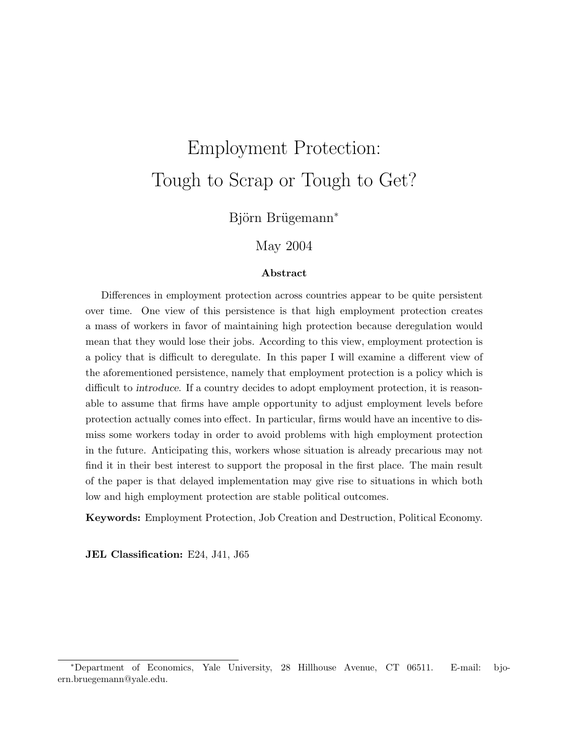# Employment Protection: Tough to Scrap or Tough to Get?

Björn Brügemann<sup>∗</sup>

#### May 2004

#### Abstract

Differences in employment protection across countries appear to be quite persistent over time. One view of this persistence is that high employment protection creates a mass of workers in favor of maintaining high protection because deregulation would mean that they would lose their jobs. According to this view, employment protection is a policy that is difficult to deregulate. In this paper I will examine a different view of the aforementioned persistence, namely that employment protection is a policy which is difficult to introduce. If a country decides to adopt employment protection, it is reasonable to assume that firms have ample opportunity to adjust employment levels before protection actually comes into effect. In particular, firms would have an incentive to dismiss some workers today in order to avoid problems with high employment protection in the future. Anticipating this, workers whose situation is already precarious may not find it in their best interest to support the proposal in the first place. The main result of the paper is that delayed implementation may give rise to situations in which both low and high employment protection are stable political outcomes.

Keywords: Employment Protection, Job Creation and Destruction, Political Economy.

JEL Classification: E24, J41, J65

<sup>∗</sup>Department of Economics, Yale University, 28 Hillhouse Avenue, CT 06511. E-mail: bjoern.bruegemann@yale.edu.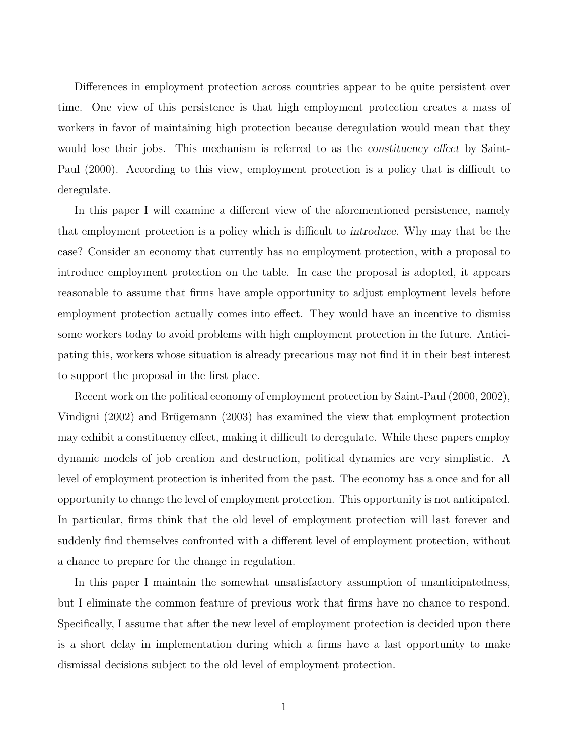Differences in employment protection across countries appear to be quite persistent over time. One view of this persistence is that high employment protection creates a mass of workers in favor of maintaining high protection because deregulation would mean that they would lose their jobs. This mechanism is referred to as the *constituency effect* by Saint-Paul (2000). According to this view, employment protection is a policy that is difficult to deregulate.

In this paper I will examine a different view of the aforementioned persistence, namely that employment protection is a policy which is difficult to introduce. Why may that be the case? Consider an economy that currently has no employment protection, with a proposal to introduce employment protection on the table. In case the proposal is adopted, it appears reasonable to assume that firms have ample opportunity to adjust employment levels before employment protection actually comes into effect. They would have an incentive to dismiss some workers today to avoid problems with high employment protection in the future. Anticipating this, workers whose situation is already precarious may not find it in their best interest to support the proposal in the first place.

Recent work on the political economy of employment protection by Saint-Paul (2000, 2002), Vindigni (2002) and Brügemann (2003) has examined the view that employment protection may exhibit a constituency effect, making it difficult to deregulate. While these papers employ dynamic models of job creation and destruction, political dynamics are very simplistic. A level of employment protection is inherited from the past. The economy has a once and for all opportunity to change the level of employment protection. This opportunity is not anticipated. In particular, firms think that the old level of employment protection will last forever and suddenly find themselves confronted with a different level of employment protection, without a chance to prepare for the change in regulation.

In this paper I maintain the somewhat unsatisfactory assumption of unanticipatedness, but I eliminate the common feature of previous work that firms have no chance to respond. Specifically, I assume that after the new level of employment protection is decided upon there is a short delay in implementation during which a firms have a last opportunity to make dismissal decisions subject to the old level of employment protection.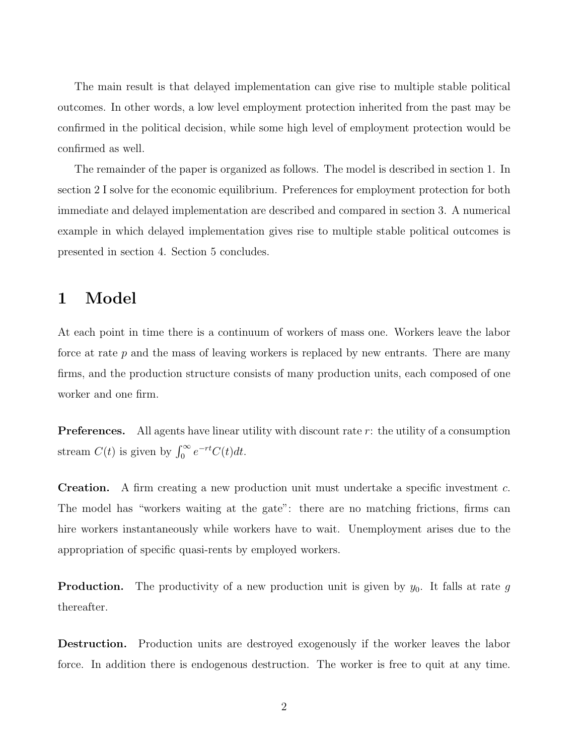The main result is that delayed implementation can give rise to multiple stable political outcomes. In other words, a low level employment protection inherited from the past may be confirmed in the political decision, while some high level of employment protection would be confirmed as well.

The remainder of the paper is organized as follows. The model is described in section 1. In section 2 I solve for the economic equilibrium. Preferences for employment protection for both immediate and delayed implementation are described and compared in section 3. A numerical example in which delayed implementation gives rise to multiple stable political outcomes is presented in section 4. Section 5 concludes.

## 1 Model

At each point in time there is a continuum of workers of mass one. Workers leave the labor force at rate p and the mass of leaving workers is replaced by new entrants. There are many firms, and the production structure consists of many production units, each composed of one worker and one firm.

**Preferences.** All agents have linear utility with discount rate  $r$ : the utility of a consumption stream  $C(t)$  is given by  $\int_0^\infty e^{-rt} C(t) dt$ .

Creation. A firm creating a new production unit must undertake a specific investment c. The model has "workers waiting at the gate": there are no matching frictions, firms can hire workers instantaneously while workers have to wait. Unemployment arises due to the appropriation of specific quasi-rents by employed workers.

**Production.** The productivity of a new production unit is given by  $y_0$ . It falls at rate g thereafter.

Destruction. Production units are destroyed exogenously if the worker leaves the labor force. In addition there is endogenous destruction. The worker is free to quit at any time.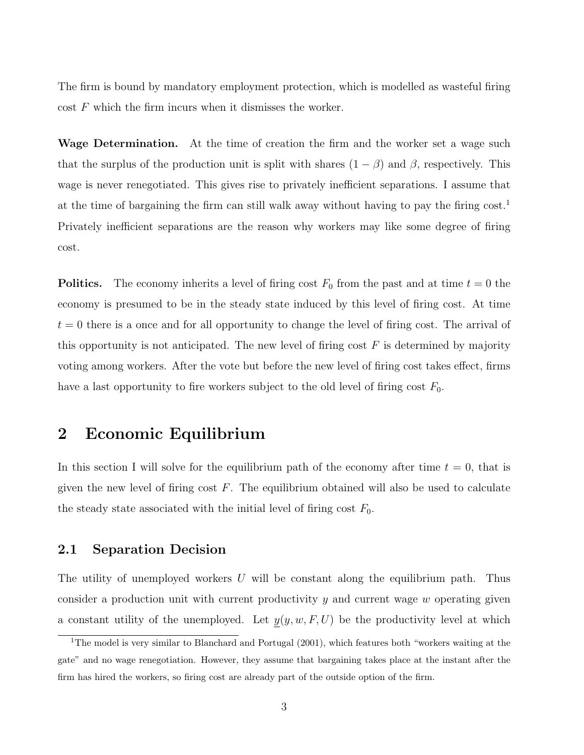The firm is bound by mandatory employment protection, which is modelled as wasteful firing  $\cos t$  F which the firm incurs when it dismisses the worker.

Wage Determination. At the time of creation the firm and the worker set a wage such that the surplus of the production unit is split with shares  $(1 - \beta)$  and  $\beta$ , respectively. This wage is never renegotiated. This gives rise to privately inefficient separations. I assume that at the time of bargaining the firm can still walk away without having to pay the firing cost.<sup>1</sup> Privately inefficient separations are the reason why workers may like some degree of firing cost.

**Politics.** The economy inherits a level of firing cost  $F_0$  from the past and at time  $t = 0$  the economy is presumed to be in the steady state induced by this level of firing cost. At time  $t = 0$  there is a once and for all opportunity to change the level of firing cost. The arrival of this opportunity is not anticipated. The new level of firing cost  $F$  is determined by majority voting among workers. After the vote but before the new level of firing cost takes effect, firms have a last opportunity to fire workers subject to the old level of firing cost  $F_0$ .

## 2 Economic Equilibrium

In this section I will solve for the equilibrium path of the economy after time  $t = 0$ , that is given the new level of firing cost  $F$ . The equilibrium obtained will also be used to calculate the steady state associated with the initial level of firing cost  $F_0$ .

#### 2.1 Separation Decision

The utility of unemployed workers  $U$  will be constant along the equilibrium path. Thus consider a production unit with current productivity  $y$  and current wage  $w$  operating given a constant utility of the unemployed. Let  $y(y, w, F, U)$  be the productivity level at which

<sup>&</sup>lt;sup>1</sup>The model is very similar to Blanchard and Portugal (2001), which features both "workers waiting at the gate" and no wage renegotiation. However, they assume that bargaining takes place at the instant after the firm has hired the workers, so firing cost are already part of the outside option of the firm.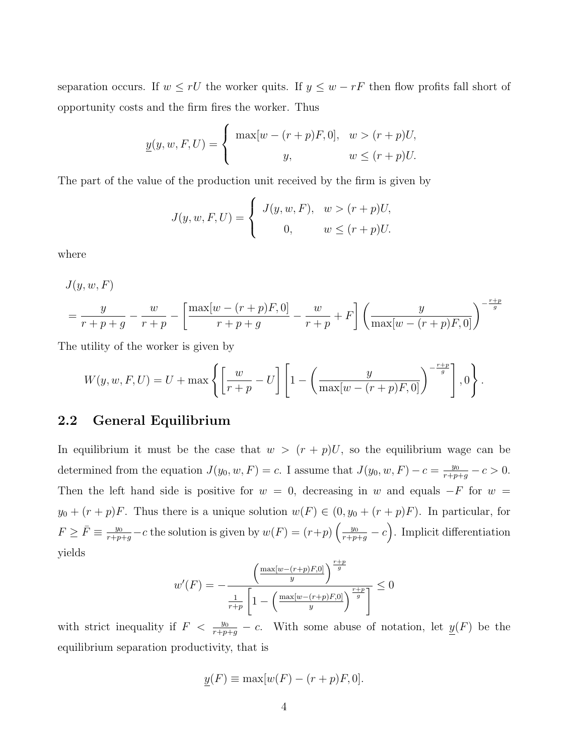separation occurs. If  $w \leq rU$  the worker quits. If  $y \leq w - rF$  then flow profits fall short of opportunity costs and the firm fires the worker. Thus

$$
\underline{y}(y, w, F, U) = \begin{cases} \max[w - (r + p)F, 0], & w > (r + p)U, \\ y, & w \le (r + p)U. \end{cases}
$$

The part of the value of the production unit received by the firm is given by

$$
J(y, w, F, U) = \begin{cases} J(y, w, F), & w > (r + p)U, \\ 0, & w \le (r + p)U. \end{cases}
$$

where

 $J(y, w, F)$ 

$$
= \frac{y}{r+p+g} - \frac{w}{r+p} - \left[\frac{\max[w-(r+p)F,0]}{r+p+g} - \frac{w}{r+p} + F\right] \left(\frac{y}{\max[w-(r+p)F,0]}\right)^{-\frac{r+p}{g}}
$$

The utility of the worker is given by

$$
W(y, w, F, U) = U + \max \left\{ \left[ \frac{w}{r+p} - U \right] \left[ 1 - \left( \frac{y}{\max[w-(r+p)F, 0]} \right)^{-\frac{r+p}{g}} \right], 0 \right\}.
$$

#### 2.2 General Equilibrium

In equilibrium it must be the case that  $w > (r + p)U$ , so the equilibrium wage can be determined from the equation  $J(y_0, w, F) = c$ . I assume that  $J(y_0, w, F) - c = \frac{y_0}{r+p+g} - c > 0$ . Then the left hand side is positive for  $w = 0$ , decreasing in w and equals  $-F$  for  $w =$  $y_0 + (r+p)F$ . Thus there is a unique solution  $w(F) \in (0, y_0 + (r+p)F)$ . In particular, for  $F \geq \bar{F} \equiv \frac{y_0}{r+p+g} - c$  the solution is given by  $w(F) = (r+p)\left(\frac{y_0}{r+p+g} - c\right)$ . Implicit differentiation yields  $r+r$ 

$$
w'(F) = -\frac{\left(\frac{\max[w-(r+p)F,0]}{y}\right)^{\frac{r+p}{g}}}{\frac{1}{r+p}\left[1-\left(\frac{\max[w-(r+p)F,0]}{y}\right)^{\frac{r+p}{g}}\right]} \leq 0
$$

with strict inequality if  $F < \frac{y_0}{r+p+g} - c$ . With some abuse of notation, let  $\underline{y}(F)$  be the equilibrium separation productivity, that is

$$
\underline{y}(F) \equiv \max[w(F) - (r+p)F, 0].
$$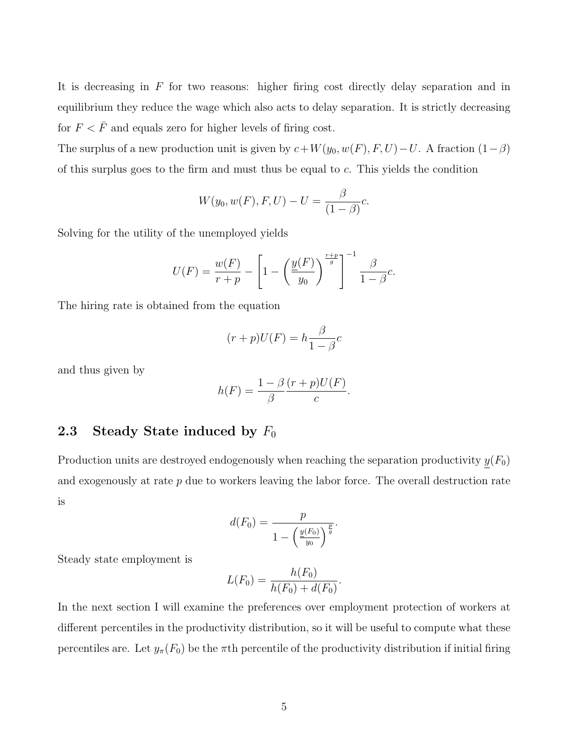It is decreasing in  $F$  for two reasons: higher firing cost directly delay separation and in equilibrium they reduce the wage which also acts to delay separation. It is strictly decreasing for  $F < \bar{F}$  and equals zero for higher levels of firing cost.

The surplus of a new production unit is given by  $c+W(y_0, w(F), F, U)-U$ . A fraction  $(1-\beta)$ of this surplus goes to the firm and must thus be equal to c. This yields the condition

$$
W(y_0, w(F), F, U) - U = \frac{\beta}{(1 - \beta)}c.
$$

Solving for the utility of the unemployed yields

$$
U(F) = \frac{w(F)}{r+p} - \left[1 - \left(\frac{\underline{y}(F)}{y_0}\right)^{\frac{r+p}{g}}\right]^{-1} \frac{\beta}{1-\beta}c.
$$

The hiring rate is obtained from the equation

$$
(r+p)U(F) = h\frac{\beta}{1-\beta}c
$$

and thus given by

$$
h(F) = \frac{1 - \beta}{\beta} \frac{(r+p)U(F)}{c}.
$$

### 2.3 Steady State induced by  $F_0$

Production units are destroyed endogenously when reaching the separation productivity  $\underline{y}(F_0)$ and exogenously at rate  $p$  due to workers leaving the labor force. The overall destruction rate is

$$
d(F_0) = \frac{p}{1 - \left(\frac{y(F_0)}{y_0}\right)^{\frac{p}{g}}}.
$$

Steady state employment is

$$
L(F_0) = \frac{h(F_0)}{h(F_0) + d(F_0)}.
$$

In the next section I will examine the preferences over employment protection of workers at different percentiles in the productivity distribution, so it will be useful to compute what these percentiles are. Let  $y_\pi(F_0)$  be the  $\pi$ th percentile of the productivity distribution if initial firing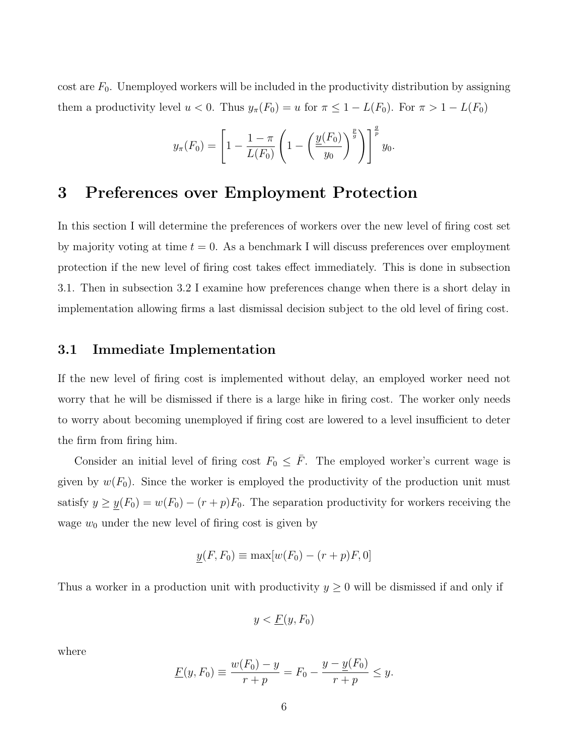cost are  $F_0$ . Unemployed workers will be included in the productivity distribution by assigning them a productivity level  $u < 0$ . Thus  $y_{\pi}(F_0) = u$  for  $\pi \leq 1 - L(F_0)$ . For  $\pi > 1 - L(F_0)$ 

$$
y_{\pi}(F_0) = \left[1 - \frac{1 - \pi}{L(F_0)} \left(1 - \left(\frac{\underline{y}(F_0)}{y_0}\right)^{\frac{p}{g}}\right)\right]^{\frac{q}{p}} y_0.
$$

# 3 Preferences over Employment Protection

In this section I will determine the preferences of workers over the new level of firing cost set by majority voting at time  $t = 0$ . As a benchmark I will discuss preferences over employment protection if the new level of firing cost takes effect immediately. This is done in subsection 3.1. Then in subsection 3.2 I examine how preferences change when there is a short delay in implementation allowing firms a last dismissal decision subject to the old level of firing cost.

#### 3.1 Immediate Implementation

If the new level of firing cost is implemented without delay, an employed worker need not worry that he will be dismissed if there is a large hike in firing cost. The worker only needs to worry about becoming unemployed if firing cost are lowered to a level insufficient to deter the firm from firing him.

Consider an initial level of firing cost  $F_0 \leq \bar{F}$ . The employed worker's current wage is given by  $w(F_0)$ . Since the worker is employed the productivity of the production unit must satisfy  $y \ge \underline{y}(F_0) = w(F_0) - (r + p)F_0$ . The separation productivity for workers receiving the wage  $w_0$  under the new level of firing cost is given by

$$
y(F, F_0) \equiv \max[w(F_0) - (r+p)F, 0]
$$

Thus a worker in a production unit with productivity  $y \geq 0$  will be dismissed if and only if

$$
y < \underline{F}(y, F_0)
$$

where

$$
\underline{F}(y, F_0) \equiv \frac{w(F_0) - y}{r + p} = F_0 - \frac{y - y(F_0)}{r + p} \le y.
$$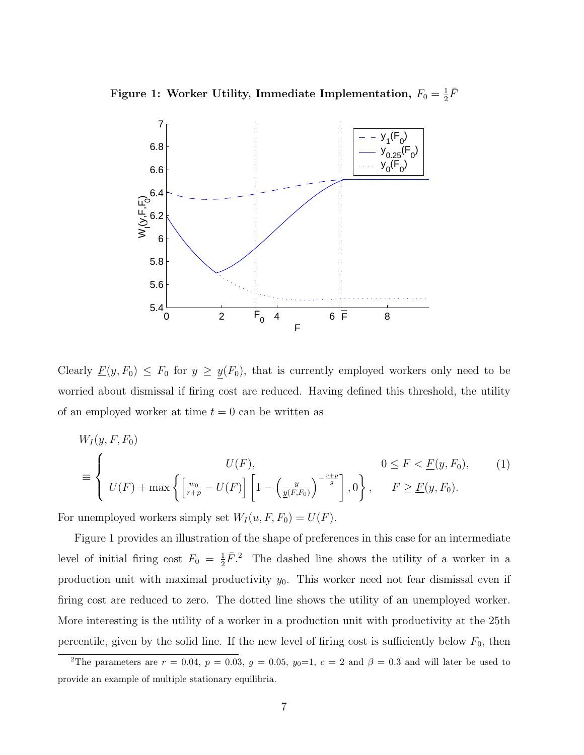Figure 1: Worker Utility, Immediate Implementation,  $F_0 = \frac{1}{2}$  $\frac{1}{2}\bar{F}$ 



Clearly  $\underline{F}(y, F_0) \leq F_0$  for  $y \geq \underline{y}(F_0)$ , that is currently employed workers only need to be worried about dismissal if firing cost are reduced. Having defined this threshold, the utility of an employed worker at time  $t = 0$  can be written as

$$
W_I(y, F, F_0)
$$
  
\n
$$
\equiv \left\{ \begin{array}{ll} U(F), & 0 \le F < E(y, F_0), \\ U(F) + \max \left\{ \left[ \frac{w_0}{r + p} - U(F) \right] \left[ 1 - \left( \frac{y}{\underline{y}(F, F_0)} \right)^{-\frac{r + p}{g}} \right], 0 \right\}, & F \ge \underline{F}(y, F_0). \end{array} \right. \tag{1}
$$

For unemployed workers simply set  $W_I(u, F, F_0) = U(F)$ .

Figure 1 provides an illustration of the shape of preferences in this case for an intermediate level of initial firing cost  $F_0 = \frac{1}{2}$  $\frac{1}{2}\bar{F}$ .<sup>2</sup> The dashed line shows the utility of a worker in a production unit with maximal productivity  $y_0$ . This worker need not fear dismissal even if firing cost are reduced to zero. The dotted line shows the utility of an unemployed worker. More interesting is the utility of a worker in a production unit with productivity at the 25th percentile, given by the solid line. If the new level of firing cost is sufficiently below  $F_0$ , then

<sup>&</sup>lt;sup>2</sup>The parameters are  $r = 0.04$ ,  $p = 0.03$ ,  $g = 0.05$ ,  $y_0=1$ ,  $c = 2$  and  $\beta = 0.3$  and will later be used to provide an example of multiple stationary equilibria.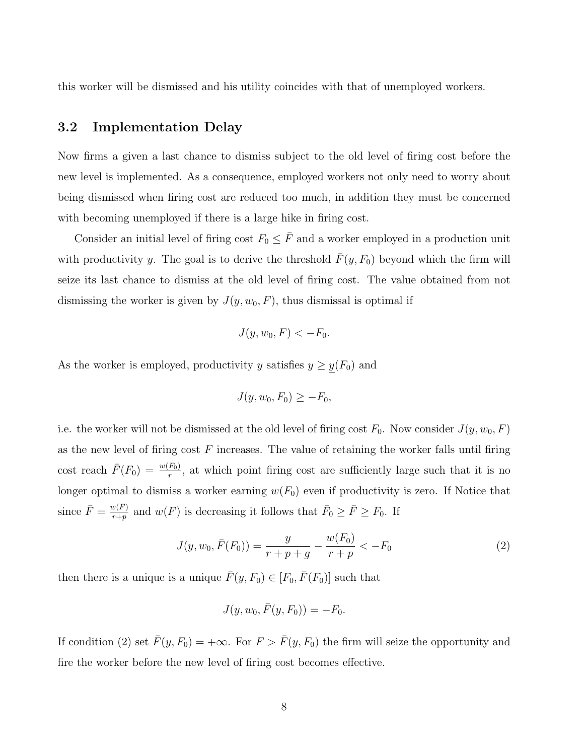this worker will be dismissed and his utility coincides with that of unemployed workers.

### 3.2 Implementation Delay

Now firms a given a last chance to dismiss subject to the old level of firing cost before the new level is implemented. As a consequence, employed workers not only need to worry about being dismissed when firing cost are reduced too much, in addition they must be concerned with becoming unemployed if there is a large hike in firing cost.

Consider an initial level of firing cost  $F_0 \leq \overline{F}$  and a worker employed in a production unit with productivity y. The goal is to derive the threshold  $\bar{F}(y, F_0)$  beyond which the firm will seize its last chance to dismiss at the old level of firing cost. The value obtained from not dismissing the worker is given by  $J(y, w_0, F)$ , thus dismissal is optimal if

$$
J(y, w_0, F) < -F_0.
$$

As the worker is employed, productivity y satisfies  $y \ge y(F_0)$  and

$$
J(y, w_0, F_0) \ge -F_0,
$$

i.e. the worker will not be dismissed at the old level of firing cost  $F_0$ . Now consider  $J(y, w_0, F)$ as the new level of firing cost  $F$  increases. The value of retaining the worker falls until firing cost reach  $\bar{F}(F_0) = \frac{w(F_0)}{r}$ , at which point firing cost are sufficiently large such that it is no longer optimal to dismiss a worker earning  $w(F_0)$  even if productivity is zero. If Notice that since  $\bar{F} = \frac{w(\bar{F})}{r+r}$  $\frac{w(\bar{F})}{r+p}$  and  $w(F)$  is decreasing it follows that  $\bar{F}_0 \geq \bar{F} \geq F_0$ . If

$$
J(y, w_0, \bar{F}(F_0)) = \frac{y}{r + p + g} - \frac{w(F_0)}{r + p} < -F_0 \tag{2}
$$

then there is a unique is a unique  $\bar{F}(y, F_0) \in [F_0, \bar{F}(F_0)]$  such that

$$
J(y, w_0, \bar{F}(y, F_0)) = -F_0.
$$

If condition (2) set  $\bar{F}(y, F_0) = +\infty$ . For  $F > \bar{F}(y, F_0)$  the firm will seize the opportunity and fire the worker before the new level of firing cost becomes effective.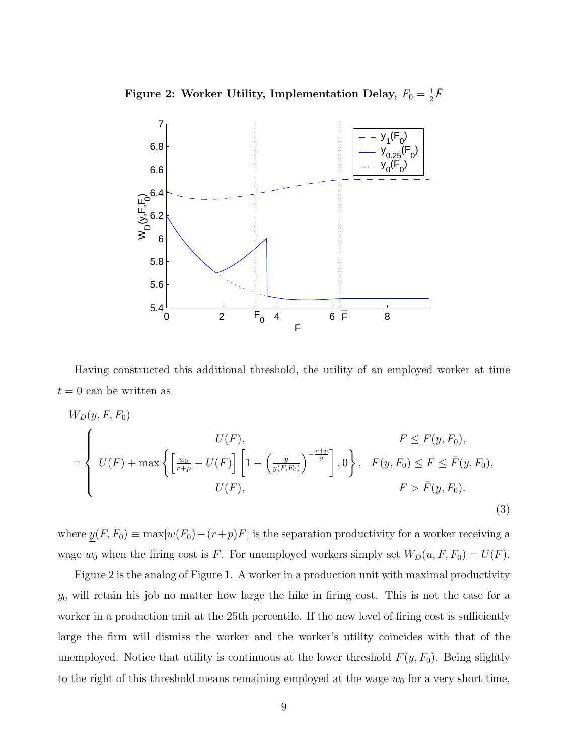Figure 2: Worker Utility, Implementation Delay,  $F_0 = \frac{1}{2}$  $\frac{1}{2}\bar{F}$ 



Having constructed this additional threshold, the utility of an employed worker at time  $t = 0$  can be written as

$$
W_D(y, F, F_0)
$$
  
= 
$$
\begin{cases} U(F), & F \leq \underline{F}(y, F_0), \\ U(F) + \max \left\{ \left[ \frac{w_0}{r + p} - U(F) \right] \left[ 1 - \left( \frac{y}{\underline{y}(F, F_0)} \right)^{-\frac{r + p}{g}} \right], 0 \right\}, & \underline{F}(y, F_0) \leq F \leq \bar{F}(y, F_0), \\ U(F), & F > \bar{F}(y, F_0). \end{cases}
$$
(3)

where  $\underline{y}(F, F_0) \equiv \max[w(F_0) - (r+p)F]$  is the separation productivity for a worker receiving a wage  $w_0$  when the firing cost is F. For unemployed workers simply set  $W_D(u, F, F_0) = U(F)$ .

Figure 2 is the analog of Figure 1. A worker in a production unit with maximal productivity  $y_0$  will retain his job no matter how large the hike in firing cost. This is not the case for a worker in a production unit at the 25th percentile. If the new level of firing cost is sufficiently large the firm will dismiss the worker and the worker's utility coincides with that of the unemployed. Notice that utility is continuous at the lower threshold  $\underline{F}(y, F_0)$ . Being slightly to the right of this threshold means remaining employed at the wage  $w_0$  for a very short time,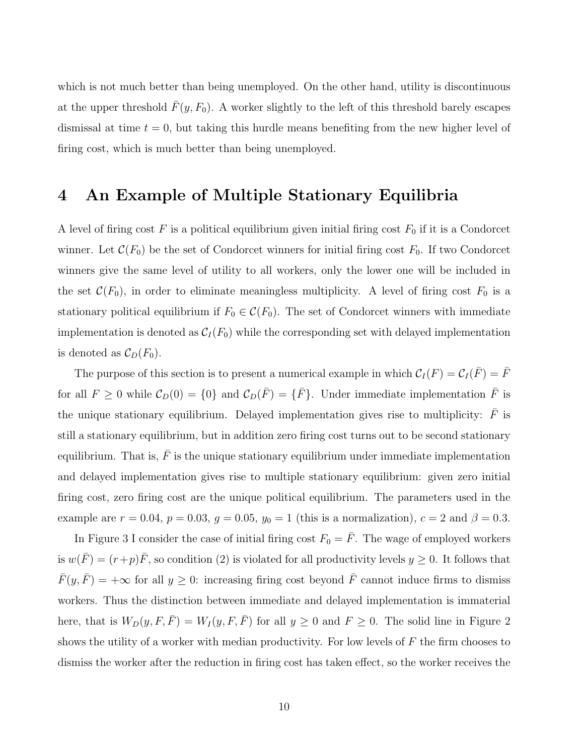which is not much better than being unemployed. On the other hand, utility is discontinuous at the upper threshold  $\bar{F}(y, F_0)$ . A worker slightly to the left of this threshold barely escapes dismissal at time  $t = 0$ , but taking this hurdle means benefiting from the new higher level of firing cost, which is much better than being unemployed.

## 4 An Example of Multiple Stationary Equilibria

A level of firing cost  $F$  is a political equilibrium given initial firing cost  $F_0$  if it is a Condorcet winner. Let  $\mathcal{C}(F_0)$  be the set of Condorcet winners for initial firing cost  $F_0$ . If two Condorcet winners give the same level of utility to all workers, only the lower one will be included in the set  $\mathcal{C}(F_0)$ , in order to eliminate meaningless multiplicity. A level of firing cost  $F_0$  is a stationary political equilibrium if  $F_0 \in \mathcal{C}(F_0)$ . The set of Condorcet winners with immediate implementation is denoted as  $C_I(F_0)$  while the corresponding set with delayed implementation is denoted as  $\mathcal{C}_D(F_0)$ .

The purpose of this section is to present a numerical example in which  $C_I(F) = C_I(\bar{F}) = \bar{F}$ for all  $F \ge 0$  while  $C_D(0) = \{0\}$  and  $C_D(\overline{F}) = \{\overline{F}\}\.$  Under immediate implementation  $\overline{F}$  is the unique stationary equilibrium. Delayed implementation gives rise to multiplicity:  $\bar{F}$  is still a stationary equilibrium, but in addition zero firing cost turns out to be second stationary equilibrium. That is,  $\bar{F}$  is the unique stationary equilibrium under immediate implementation and delayed implementation gives rise to multiple stationary equilibrium: given zero initial firing cost, zero firing cost are the unique political equilibrium. The parameters used in the example are  $r = 0.04$ ,  $p = 0.03$ ,  $g = 0.05$ ,  $y_0 = 1$  (this is a normalization),  $c = 2$  and  $\beta = 0.3$ .

In Figure 3 I consider the case of initial firing cost  $F_0 = \bar{F}$ . The wage of employed workers is  $w(\overline{F}) = (r+p)\overline{F}$ , so condition (2) is violated for all productivity levels  $y \ge 0$ . It follows that  $\bar{F}(y, \bar{F}) = +\infty$  for all  $y \geq 0$ : increasing firing cost beyond  $\bar{F}$  cannot induce firms to dismiss workers. Thus the distinction between immediate and delayed implementation is immaterial here, that is  $W_D(y, F, \overline{F}) = W_I(y, F, \overline{F})$  for all  $y \ge 0$  and  $F \ge 0$ . The solid line in Figure 2 shows the utility of a worker with median productivity. For low levels of  $F$  the firm chooses to dismiss the worker after the reduction in firing cost has taken effect, so the worker receives the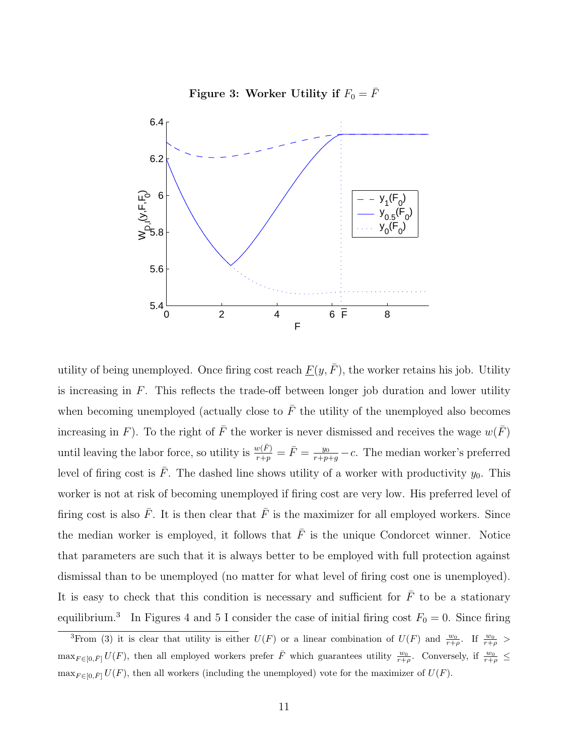



utility of being unemployed. Once firing cost reach  $F(y, \bar{F})$ , the worker retains his job. Utility is increasing in  $F$ . This reflects the trade-off between longer job duration and lower utility when becoming unemployed (actually close to  $\bar{F}$  the utility of the unemployed also becomes increasing in F). To the right of  $\overline{F}$  the worker is never dismissed and receives the wage  $w(\overline{F})$ until leaving the labor force, so utility is  $\frac{w(\bar{F})}{r+p} = \bar{F} = \frac{y_0}{r+p+g} - c$ . The median worker's preferred level of firing cost is F. The dashed line shows utility of a worker with productivity  $y_0$ . This worker is not at risk of becoming unemployed if firing cost are very low. His preferred level of firing cost is also  $\bar{F}$ . It is then clear that  $\bar{F}$  is the maximizer for all employed workers. Since the median worker is employed, it follows that  $\bar{F}$  is the unique Condorcet winner. Notice that parameters are such that it is always better to be employed with full protection against dismissal than to be unemployed (no matter for what level of firing cost one is unemployed). It is easy to check that this condition is necessary and sufficient for  $\bar{F}$  to be a stationary equilibrium.<sup>3</sup> In Figures 4 and 5 I consider the case of initial firing cost  $F_0 = 0$ . Since firing

<sup>&</sup>lt;sup>3</sup>From (3) it is clear that utility is either  $U(F)$  or a linear combination of  $U(F)$  and  $\frac{w_0}{r+\rho}$ . If  $\frac{w_0}{r+\rho}$  $\max_{F \in [0,\bar{F}]} U(F)$ , then all employed workers prefer  $\bar{F}$  which guarantees utility  $\frac{w_0}{r+\rho}$ . Conversely, if  $\frac{w_0}{r+\rho} \leq$  $\max_{F \in [0,\bar{F}]} U(F)$ , then all workers (including the unemployed) vote for the maximizer of  $U(F)$ .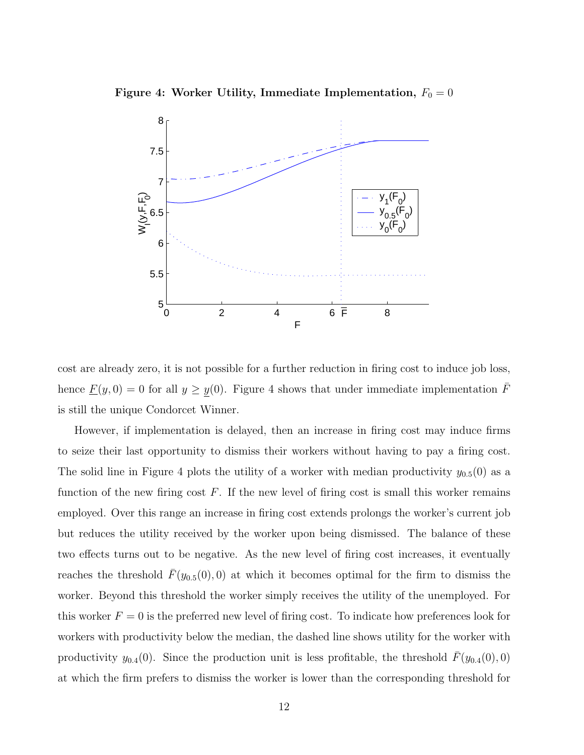



cost are already zero, it is not possible for a further reduction in firing cost to induce job loss, hence  $\underline{F}(y, 0) = 0$  for all  $y \ge \underline{y}(0)$ . Figure 4 shows that under immediate implementation  $\overline{F}$ is still the unique Condorcet Winner.

However, if implementation is delayed, then an increase in firing cost may induce firms to seize their last opportunity to dismiss their workers without having to pay a firing cost. The solid line in Figure 4 plots the utility of a worker with median productivity  $y_{0.5}(0)$  as a function of the new firing cost  $F$ . If the new level of firing cost is small this worker remains employed. Over this range an increase in firing cost extends prolongs the worker's current job but reduces the utility received by the worker upon being dismissed. The balance of these two effects turns out to be negative. As the new level of firing cost increases, it eventually reaches the threshold  $\bar{F}(y_{0.5}(0), 0)$  at which it becomes optimal for the firm to dismiss the worker. Beyond this threshold the worker simply receives the utility of the unemployed. For this worker  $F = 0$  is the preferred new level of firing cost. To indicate how preferences look for workers with productivity below the median, the dashed line shows utility for the worker with productivity  $y_{0.4}(0)$ . Since the production unit is less profitable, the threshold  $\bar{F}(y_{0.4}(0), 0)$ at which the firm prefers to dismiss the worker is lower than the corresponding threshold for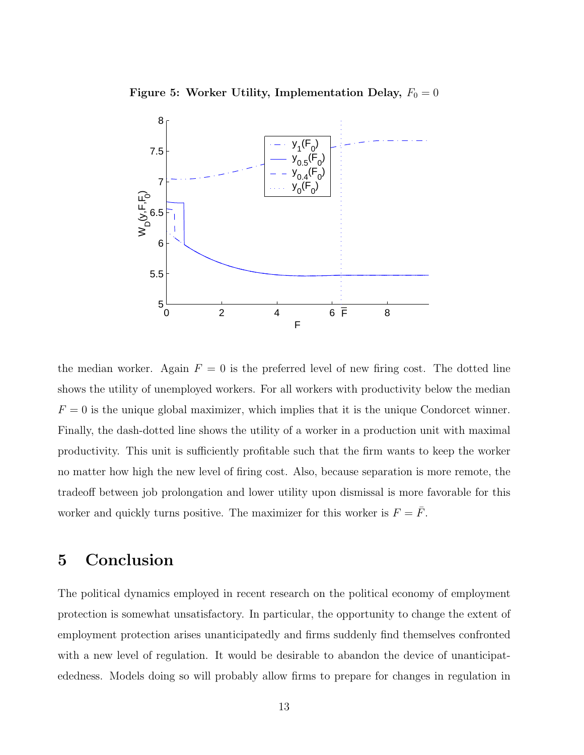Figure 5: Worker Utility, Implementation Delay,  $F_0 = 0$ 



the median worker. Again  $F = 0$  is the preferred level of new firing cost. The dotted line shows the utility of unemployed workers. For all workers with productivity below the median  $F = 0$  is the unique global maximizer, which implies that it is the unique Condorcet winner. Finally, the dash-dotted line shows the utility of a worker in a production unit with maximal productivity. This unit is sufficiently profitable such that the firm wants to keep the worker no matter how high the new level of firing cost. Also, because separation is more remote, the tradeoff between job prolongation and lower utility upon dismissal is more favorable for this worker and quickly turns positive. The maximizer for this worker is  $F = \overline{F}$ .

# 5 Conclusion

The political dynamics employed in recent research on the political economy of employment protection is somewhat unsatisfactory. In particular, the opportunity to change the extent of employment protection arises unanticipatedly and firms suddenly find themselves confronted with a new level of regulation. It would be desirable to abandon the device of unanticipatededness. Models doing so will probably allow firms to prepare for changes in regulation in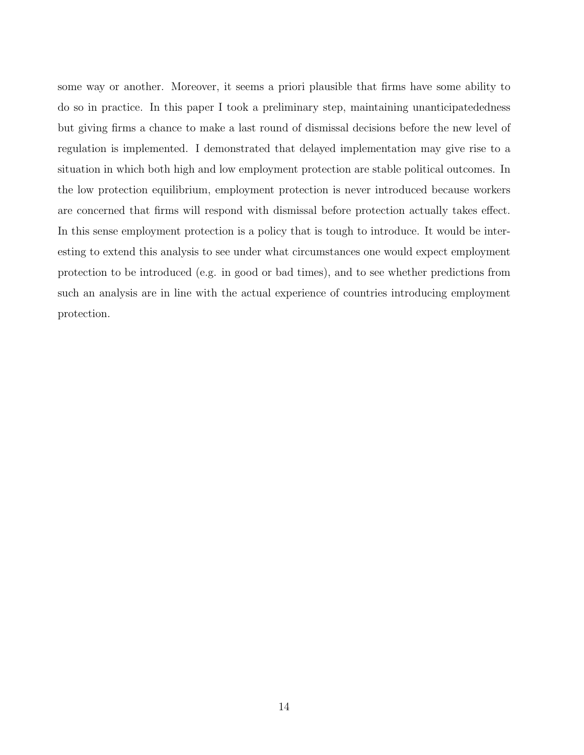some way or another. Moreover, it seems a priori plausible that firms have some ability to do so in practice. In this paper I took a preliminary step, maintaining unanticipatededness but giving firms a chance to make a last round of dismissal decisions before the new level of regulation is implemented. I demonstrated that delayed implementation may give rise to a situation in which both high and low employment protection are stable political outcomes. In the low protection equilibrium, employment protection is never introduced because workers are concerned that firms will respond with dismissal before protection actually takes effect. In this sense employment protection is a policy that is tough to introduce. It would be interesting to extend this analysis to see under what circumstances one would expect employment protection to be introduced (e.g. in good or bad times), and to see whether predictions from such an analysis are in line with the actual experience of countries introducing employment protection.